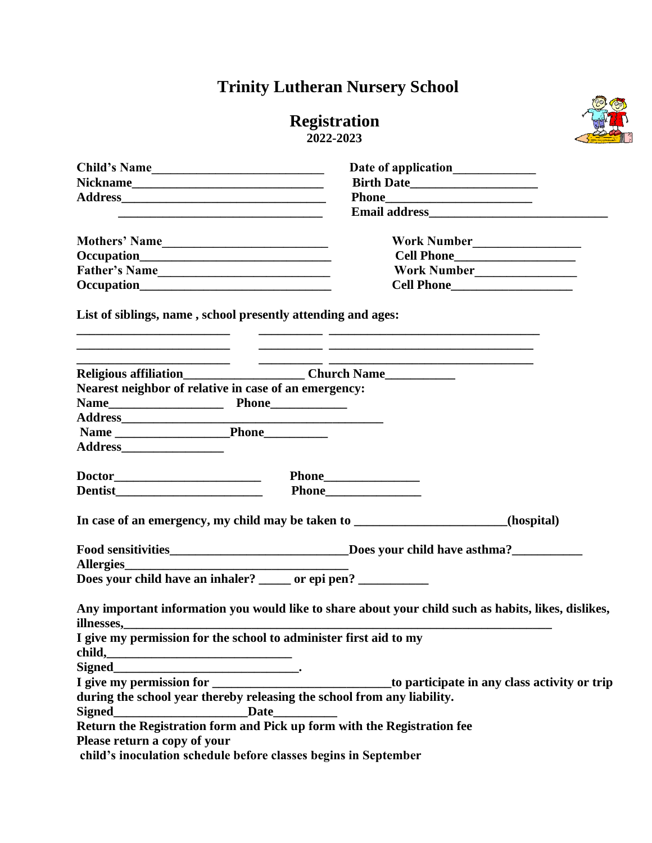## **Trinity Lutheran Nursery School**

| <b>Registration</b> |
|---------------------|
| 2022-2023           |



| Child's Name<br><u> 1989 - Johann Stein, mars an de Britannich (b. 1989)</u>                                                |                                                                                                                      |  |
|-----------------------------------------------------------------------------------------------------------------------------|----------------------------------------------------------------------------------------------------------------------|--|
|                                                                                                                             |                                                                                                                      |  |
|                                                                                                                             |                                                                                                                      |  |
|                                                                                                                             |                                                                                                                      |  |
|                                                                                                                             |                                                                                                                      |  |
| List of siblings, name, school presently attending and ages:<br><u> 1989 - Johann Barbara, martxa al III-lea (h. 1989).</u> |                                                                                                                      |  |
| Religious affiliation__________________________Church Name______________________                                            | <u> 2000 - 2000 - 2000 - 2000 - 2000 - 2000 - 2000 - 2000 - 2000 - 2000 - 2000 - 2000 - 2000 - 2000 - 2000 - 200</u> |  |
| Nearest neighbor of relative in case of an emergency:                                                                       |                                                                                                                      |  |
|                                                                                                                             |                                                                                                                      |  |
|                                                                                                                             |                                                                                                                      |  |
| Name Phone                                                                                                                  |                                                                                                                      |  |
|                                                                                                                             |                                                                                                                      |  |
| <b>Dentist</b> _____________________                                                                                        | <b>Phone</b>                                                                                                         |  |
|                                                                                                                             | In case of an emergency, my child may be taken to _____________________(hospital)                                    |  |
|                                                                                                                             | Food sensitivities_________________________________Does your child have asthma?_____________________                 |  |
| Does your child have an inhaler? ______ or epi pen? ____________                                                            |                                                                                                                      |  |
| I give my permission for the school to administer first aid to my                                                           | Any important information you would like to share about your child such as habits, likes, dislikes,                  |  |
|                                                                                                                             |                                                                                                                      |  |
|                                                                                                                             | I give my permission for __________________________________to participate in any class activity or trip              |  |
| during the school year thereby releasing the school from any liability.                                                     |                                                                                                                      |  |
| Return the Registration form and Pick up form with the Registration fee                                                     |                                                                                                                      |  |
| Please return a copy of your                                                                                                |                                                                                                                      |  |
| child's inoculation schedule before classes begins in September                                                             |                                                                                                                      |  |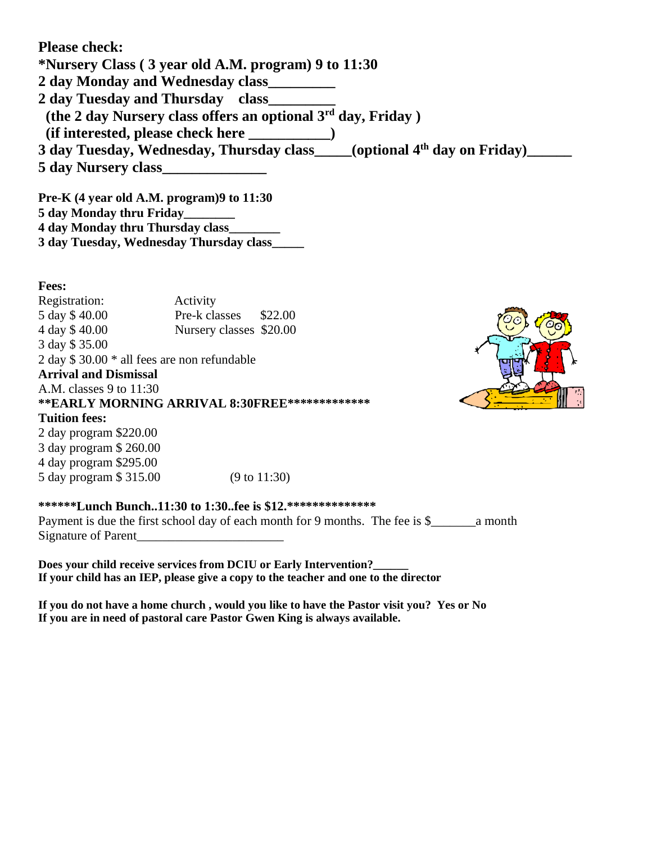**Please check: \*Nursery Class ( 3 year old A.M. program) 9 to 11:30 2 day Monday and Wednesday class\_\_\_\_\_\_\_\_\_ 2 day Tuesday and Thursday class\_\_\_\_\_\_\_\_\_ (the 2 day Nursery class offers an optional 3rd day, Friday ) (if interested, please check here \_\_\_\_\_\_\_\_\_\_\_) 3 day Tuesday, Wednesday, Thursday class\_\_\_\_\_(optional 4th day on Friday)\_\_\_\_\_\_ 5 day Nursery class\_\_\_\_\_\_\_\_\_\_\_\_\_\_**

**Pre-K (4 year old A.M. program)9 to 11:30 5 day Monday thru Friday\_\_\_\_\_\_\_\_ 4 day Monday thru Thursday class\_\_\_\_\_\_\_\_ 3 day Tuesday, Wednesday Thursday class\_\_\_\_\_**

## **Fees:**

Registration: Activity 5 day \$40.00 Pre-k classes \$22.00 4 day \$ 40.00 Nursery classes \$20.00 3 day \$ 35.00 2 day \$ 30.00 \* all fees are non refundable **Arrival and Dismissal** A.M. classes 9 to 11:30 **\*\*EARLY MORNING ARRIVAL 8:30FREE\*\*\*\*\*\*\*\*\*\*\*\*\* Tuition fees:** 2 day program \$220.00 3 day program \$ 260.00 4 day program \$295.00 5 day program \$ 315.00 (9 to 11:30)



## **\*\*\*\*\*\*Lunch Bunch..11:30 to 1:30..fee is \$12.\*\*\*\*\*\*\*\*\*\*\*\*\*\***

Payment is due the first school day of each month for 9 months. The fee is \$\_\_\_\_\_\_\_a month Signature of Parent\_\_\_\_\_\_\_\_\_\_\_\_\_\_\_\_\_\_\_\_\_\_\_

**Does your child receive services from DCIU or Early Intervention?\_\_\_\_\_\_ If your child has an IEP, please give a copy to the teacher and one to the director**

**If you do not have a home church , would you like to have the Pastor visit you? Yes or No If you are in need of pastoral care Pastor Gwen King is always available.**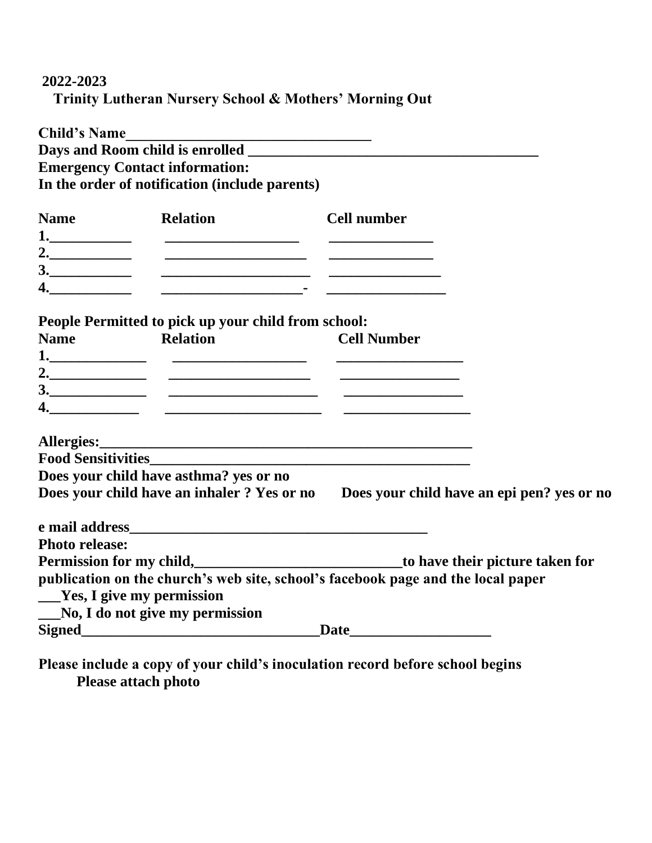## **2022-2023 Trinity Lutheran Nursery School & Mothers' Morning Out**

| <b>Child's Name</b>                            |  |
|------------------------------------------------|--|
| Days and Room child is enrolled                |  |
| <b>Emergency Contact information:</b>          |  |
| In the order of notification (include parents) |  |

| <b>Name</b> | <b>Relation</b> | <b>Cell number</b> |
|-------------|-----------------|--------------------|
|             |                 |                    |
| Δ           |                 |                    |
| Δ<br>◡      |                 |                    |
| Δ           |                 |                    |

**People Permitted to pick up your child from school:**

| <b>Name</b>             | <b>Relation</b> | <b>Cell Number</b> |
|-------------------------|-----------------|--------------------|
|                         |                 |                    |
| ി<br>∠.                 |                 |                    |
| 3 <sub>o</sub>          |                 |                    |
| $\overline{\mathbf{4}}$ |                 |                    |

**Allergies:\_\_\_\_\_\_\_\_\_\_\_\_\_\_\_\_\_\_\_\_\_\_\_\_\_\_\_\_\_\_\_\_\_\_\_\_\_\_\_\_\_\_\_\_\_\_\_\_\_\_**

| <b>Food Sensitivities</b>              |  |
|----------------------------------------|--|
| Does your child have asthma? yes or no |  |

**Does your child have an inhaler ? Yes or no Does your child have an epi pen? yes or no**

| e mail address                                                                                                                                  |                                 |
|-------------------------------------------------------------------------------------------------------------------------------------------------|---------------------------------|
| <b>Photo release:</b>                                                                                                                           |                                 |
| Permission for my child,<br><u> 1980 - Jan Barnett, fransk kongresu og den forske politiker og den forske politiker og den forske politiker</u> | to have their picture taken for |
| publication on the church's web site, school's facebook page and the local paper                                                                |                                 |
| <b>EXAMPLE 12</b> Yes, I give my permission                                                                                                     |                                 |
| $\_\_$ No, I do not give my permission                                                                                                          |                                 |
| <b>Signed</b>                                                                                                                                   | Date                            |

**Please include a copy of your child's inoculation record before school begins Please attach photo**